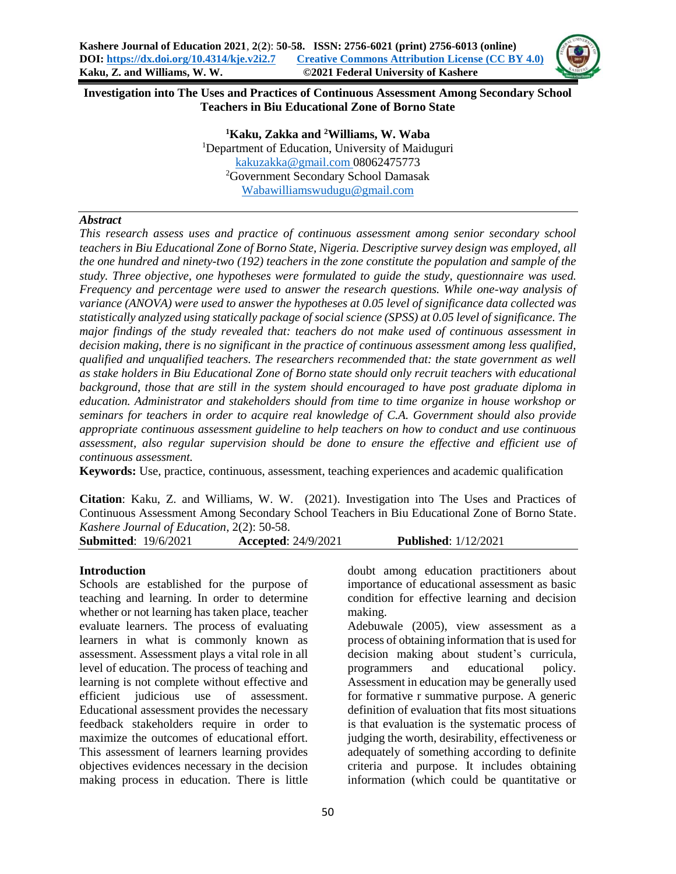

**Investigation into The Uses and Practices of Continuous Assessment Among Secondary School Teachers in Biu Educational Zone of Borno State**

> **<sup>1</sup>Kaku, Zakka and <sup>2</sup>Williams, W. Waba** <sup>1</sup>Department of Education, University of Maiduguri [kakuzakka@gmail.com](mailto:kakuzakka@gamil.com) 08062475773 <sup>2</sup>Government Secondary School Damasak [Wabawilliamswudugu@gmail.com](mailto:Wabawilliamswudugu@gmail.com)

## *Abstract*

*This research assess uses and practice of continuous assessment among senior secondary school teachers in Biu Educational Zone of Borno State, Nigeria. Descriptive survey design was employed, all the one hundred and ninety-two (192) teachers in the zone constitute the population and sample of the study. Three objective, one hypotheses were formulated to guide the study, questionnaire was used. Frequency and percentage were used to answer the research questions. While one-way analysis of variance (ANOVA) were used to answer the hypotheses at 0.05 level of significance data collected was statistically analyzed using statically package of social science (SPSS) at 0.05 level of significance. The major findings of the study revealed that: teachers do not make used of continuous assessment in decision making, there is no significant in the practice of continuous assessment among less qualified, qualified and unqualified teachers. The researchers recommended that: the state government as well as stake holders in Biu Educational Zone of Borno state should only recruit teachers with educational background, those that are still in the system should encouraged to have post graduate diploma in education. Administrator and stakeholders should from time to time organize in house workshop or seminars for teachers in order to acquire real knowledge of C.A. Government should also provide appropriate continuous assessment guideline to help teachers on how to conduct and use continuous assessment, also regular supervision should be done to ensure the effective and efficient use of continuous assessment.*

**Keywords:** Use, practice, continuous, assessment, teaching experiences and academic qualification

**Citation**: Kaku, Z. and Williams, W. W. (2021). Investigation into The Uses and Practices of Continuous Assessment Among Secondary School Teachers in Biu Educational Zone of Borno State. *Kashere Journal of Education*, 2(2): 50-58.

| <b>Submitted: 19/6/2021</b><br><b>Published:</b> 1/12/2021<br><b>Accepted:</b> 24/9/2021 |  |
|------------------------------------------------------------------------------------------|--|
|------------------------------------------------------------------------------------------|--|

#### **Introduction**

Schools are established for the purpose of teaching and learning. In order to determine whether or not learning has taken place, teacher evaluate learners. The process of evaluating learners in what is commonly known as assessment. Assessment plays a vital role in all level of education. The process of teaching and learning is not complete without effective and efficient judicious use of assessment. Educational assessment provides the necessary feedback stakeholders require in order to maximize the outcomes of educational effort. This assessment of learners learning provides objectives evidences necessary in the decision making process in education. There is little

doubt among education practitioners about importance of educational assessment as basic condition for effective learning and decision making.

Adebuwale (2005), view assessment as a process of obtaining information that is used for decision making about student's curricula, programmers and educational policy. Assessment in education may be generally used for formative r summative purpose. A generic definition of evaluation that fits most situations is that evaluation is the systematic process of judging the worth, desirability, effectiveness or adequately of something according to definite criteria and purpose. It includes obtaining information (which could be quantitative or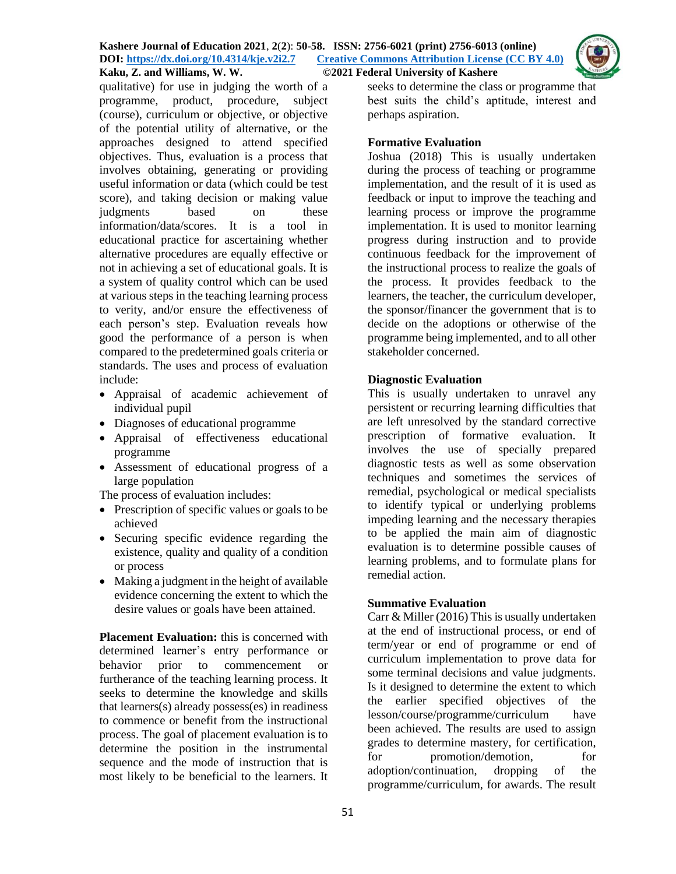

qualitative) for use in judging the worth of a programme, product, procedure, subject (course), curriculum or objective, or objective of the potential utility of alternative, or the approaches designed to attend specified objectives. Thus, evaluation is a process that involves obtaining, generating or providing useful information or data (which could be test score), and taking decision or making value judgments based on these information/data/scores. It is a tool in educational practice for ascertaining whether alternative procedures are equally effective or not in achieving a set of educational goals. It is a system of quality control which can be used at various steps in the teaching learning process to verity, and/or ensure the effectiveness of each person's step. Evaluation reveals how good the performance of a person is when compared to the predetermined goals criteria or standards. The uses and process of evaluation include:

- Appraisal of academic achievement of individual pupil
- Diagnoses of educational programme
- Appraisal of effectiveness educational programme
- Assessment of educational progress of a large population

The process of evaluation includes:

- Prescription of specific values or goals to be achieved
- Securing specific evidence regarding the existence, quality and quality of a condition or process
- Making a judgment in the height of available evidence concerning the extent to which the desire values or goals have been attained.

**Placement Evaluation:** this is concerned with determined learner's entry performance or behavior prior to commencement or furtherance of the teaching learning process. It seeks to determine the knowledge and skills that learners(s) already possess(es) in readiness to commence or benefit from the instructional process. The goal of placement evaluation is to determine the position in the instrumental sequence and the mode of instruction that is most likely to be beneficial to the learners. It seeks to determine the class or programme that best suits the child's aptitude, interest and perhaps aspiration.

## **Formative Evaluation**

Joshua (2018) This is usually undertaken during the process of teaching or programme implementation, and the result of it is used as feedback or input to improve the teaching and learning process or improve the programme implementation. It is used to monitor learning progress during instruction and to provide continuous feedback for the improvement of the instructional process to realize the goals of the process. It provides feedback to the learners, the teacher, the curriculum developer, the sponsor/financer the government that is to decide on the adoptions or otherwise of the programme being implemented, and to all other stakeholder concerned.

## **Diagnostic Evaluation**

This is usually undertaken to unravel any persistent or recurring learning difficulties that are left unresolved by the standard corrective prescription of formative evaluation. It involves the use of specially prepared diagnostic tests as well as some observation techniques and sometimes the services of remedial, psychological or medical specialists to identify typical or underlying problems impeding learning and the necessary therapies to be applied the main aim of diagnostic evaluation is to determine possible causes of learning problems, and to formulate plans for remedial action.

## **Summative Evaluation**

Carr & Miller (2016) This is usually undertaken at the end of instructional process, or end of term/year or end of programme or end of curriculum implementation to prove data for some terminal decisions and value judgments. Is it designed to determine the extent to which the earlier specified objectives of the lesson/course/programme/curriculum have been achieved. The results are used to assign grades to determine mastery, for certification, for promotion/demotion, for adoption/continuation, dropping of the programme/curriculum, for awards. The result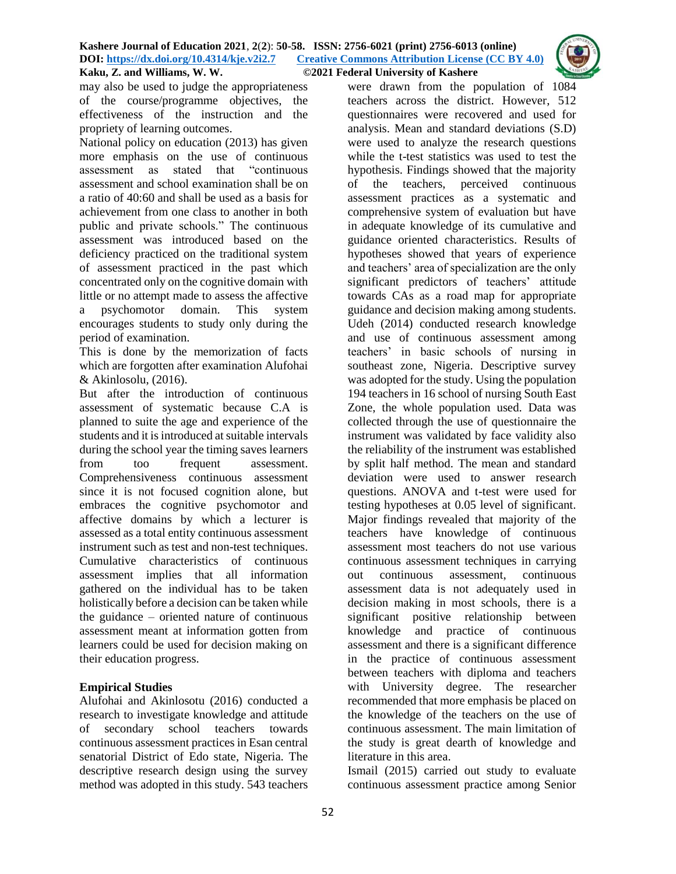

may also be used to judge the appropriateness of the course/programme objectives, the effectiveness of the instruction and the propriety of learning outcomes.

National policy on education (2013) has given more emphasis on the use of continuous assessment as stated that "continuous assessment and school examination shall be on a ratio of 40:60 and shall be used as a basis for achievement from one class to another in both public and private schools." The continuous assessment was introduced based on the deficiency practiced on the traditional system of assessment practiced in the past which concentrated only on the cognitive domain with little or no attempt made to assess the affective a psychomotor domain. This system encourages students to study only during the period of examination.

This is done by the memorization of facts which are forgotten after examination Alufohai & Akinlosolu, (2016).

But after the introduction of continuous assessment of systematic because C.A is planned to suite the age and experience of the students and it is introduced at suitable intervals during the school year the timing saves learners from too frequent assessment. Comprehensiveness continuous assessment since it is not focused cognition alone, but embraces the cognitive psychomotor and affective domains by which a lecturer is assessed as a total entity continuous assessment instrument such as test and non-test techniques. Cumulative characteristics of continuous assessment implies that all information gathered on the individual has to be taken holistically before a decision can be taken while the guidance – oriented nature of continuous assessment meant at information gotten from learners could be used for decision making on their education progress.

## **Empirical Studies**

Alufohai and Akinlosotu (2016) conducted a research to investigate knowledge and attitude of secondary school teachers towards continuous assessment practices in Esan central senatorial District of Edo state, Nigeria. The descriptive research design using the survey method was adopted in this study. 543 teachers

were drawn from the population of 1084 teachers across the district. However, 512 questionnaires were recovered and used for analysis. Mean and standard deviations (S.D) were used to analyze the research questions while the t-test statistics was used to test the hypothesis. Findings showed that the majority of the teachers, perceived continuous assessment practices as a systematic and comprehensive system of evaluation but have in adequate knowledge of its cumulative and guidance oriented characteristics. Results of hypotheses showed that years of experience and teachers' area of specialization are the only significant predictors of teachers' attitude towards CAs as a road map for appropriate guidance and decision making among students. Udeh (2014) conducted research knowledge and use of continuous assessment among teachers' in basic schools of nursing in southeast zone, Nigeria. Descriptive survey was adopted for the study. Using the population 194 teachers in 16 school of nursing South East Zone, the whole population used. Data was collected through the use of questionnaire the instrument was validated by face validity also the reliability of the instrument was established by split half method. The mean and standard deviation were used to answer research questions. ANOVA and t-test were used for testing hypotheses at 0.05 level of significant. Major findings revealed that majority of the teachers have knowledge of continuous assessment most teachers do not use various continuous assessment techniques in carrying out continuous assessment, continuous assessment data is not adequately used in decision making in most schools, there is a significant positive relationship between knowledge and practice of continuous assessment and there is a significant difference in the practice of continuous assessment between teachers with diploma and teachers with University degree. The researcher recommended that more emphasis be placed on the knowledge of the teachers on the use of continuous assessment. The main limitation of the study is great dearth of knowledge and literature in this area.

Ismail (2015) carried out study to evaluate continuous assessment practice among Senior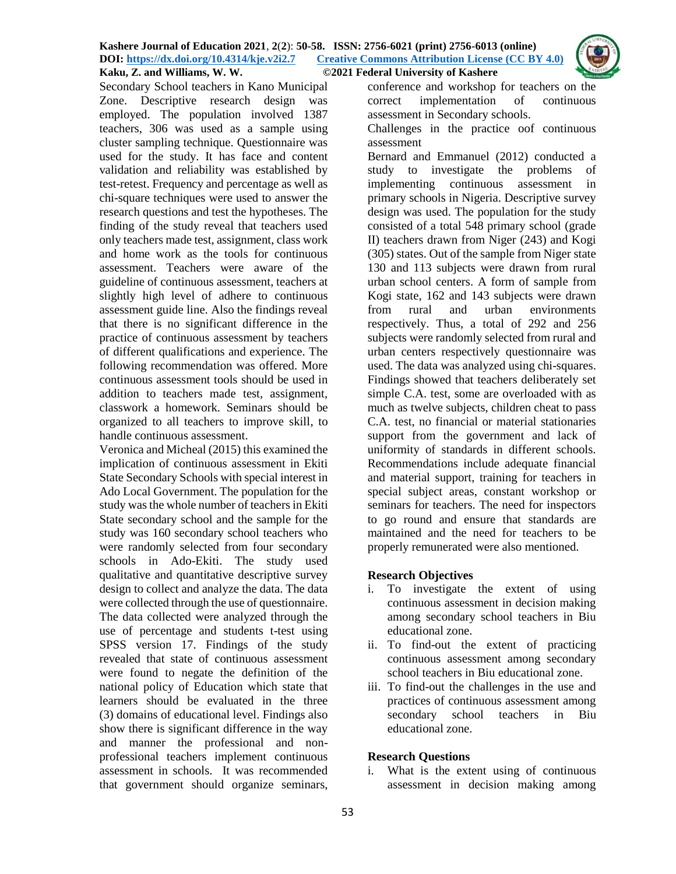

Secondary School teachers in Kano Municipal Zone. Descriptive research design was employed. The population involved 1387 teachers, 306 was used as a sample using cluster sampling technique. Questionnaire was used for the study. It has face and content validation and reliability was established by test-retest. Frequency and percentage as well as chi-square techniques were used to answer the research questions and test the hypotheses. The finding of the study reveal that teachers used only teachers made test, assignment, class work and home work as the tools for continuous assessment. Teachers were aware of the guideline of continuous assessment, teachers at slightly high level of adhere to continuous assessment guide line. Also the findings reveal that there is no significant difference in the practice of continuous assessment by teachers of different qualifications and experience. The following recommendation was offered. More continuous assessment tools should be used in addition to teachers made test, assignment, classwork a homework. Seminars should be organized to all teachers to improve skill, to handle continuous assessment.

Veronica and Micheal (2015) this examined the implication of continuous assessment in Ekiti State Secondary Schools with special interest in Ado Local Government. The population for the study was the whole number of teachers in Ekiti State secondary school and the sample for the study was 160 secondary school teachers who were randomly selected from four secondary schools in Ado-Ekiti. The study used qualitative and quantitative descriptive survey design to collect and analyze the data. The data were collected through the use of questionnaire. The data collected were analyzed through the use of percentage and students t-test using SPSS version 17. Findings of the study revealed that state of continuous assessment were found to negate the definition of the national policy of Education which state that learners should be evaluated in the three (3) domains of educational level. Findings also show there is significant difference in the way and manner the professional and nonprofessional teachers implement continuous assessment in schools. It was recommended that government should organize seminars,

conference and workshop for teachers on the correct implementation of continuous assessment in Secondary schools.

Challenges in the practice oof continuous assessment

Bernard and Emmanuel (2012) conducted a study to investigate the problems of implementing continuous assessment in primary schools in Nigeria. Descriptive survey design was used. The population for the study consisted of a total 548 primary school (grade II) teachers drawn from Niger (243) and Kogi (305) states. Out of the sample from Niger state 130 and 113 subjects were drawn from rural urban school centers. A form of sample from Kogi state, 162 and 143 subjects were drawn from rural and urban environments respectively. Thus, a total of 292 and 256 subjects were randomly selected from rural and urban centers respectively questionnaire was used. The data was analyzed using chi-squares. Findings showed that teachers deliberately set simple C.A. test, some are overloaded with as much as twelve subjects, children cheat to pass C.A. test, no financial or material stationaries support from the government and lack of uniformity of standards in different schools. Recommendations include adequate financial and material support, training for teachers in special subject areas, constant workshop or seminars for teachers. The need for inspectors to go round and ensure that standards are maintained and the need for teachers to be properly remunerated were also mentioned.

# **Research Objectives**

- i. To investigate the extent of using continuous assessment in decision making among secondary school teachers in Biu educational zone.
- ii. To find-out the extent of practicing continuous assessment among secondary school teachers in Biu educational zone.
- iii. To find-out the challenges in the use and practices of continuous assessment among secondary school teachers in Biu educational zone.

## **Research Questions**

i. What is the extent using of continuous assessment in decision making among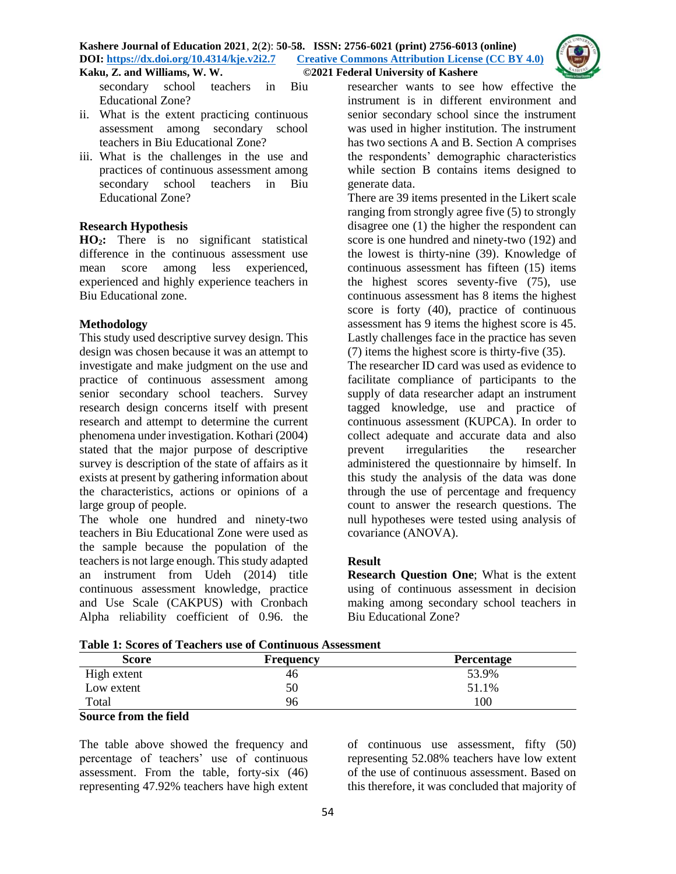

secondary school teachers in Biu Educational Zone?

- ii. What is the extent practicing continuous assessment among secondary school teachers in Biu Educational Zone?
- iii. What is the challenges in the use and practices of continuous assessment among secondary school teachers in Biu Educational Zone?

## **Research Hypothesis**

**HO2:** There is no significant statistical difference in the continuous assessment use mean score among less experienced, experienced and highly experience teachers in Biu Educational zone.

## **Methodology**

This study used descriptive survey design. This design was chosen because it was an attempt to investigate and make judgment on the use and practice of continuous assessment among senior secondary school teachers. Survey research design concerns itself with present research and attempt to determine the current phenomena under investigation. Kothari (2004) stated that the major purpose of descriptive survey is description of the state of affairs as it exists at present by gathering information about the characteristics, actions or opinions of a large group of people.

The whole one hundred and ninety-two teachers in Biu Educational Zone were used as the sample because the population of the teachers is not large enough. This study adapted an instrument from Udeh (2014) title continuous assessment knowledge, practice and Use Scale (CAKPUS) with Cronbach Alpha reliability coefficient of 0.96. the researcher wants to see how effective the instrument is in different environment and senior secondary school since the instrument was used in higher institution. The instrument has two sections A and B. Section A comprises the respondents' demographic characteristics while section B contains items designed to generate data.

There are 39 items presented in the Likert scale ranging from strongly agree five (5) to strongly disagree one (1) the higher the respondent can score is one hundred and ninety-two (192) and the lowest is thirty-nine (39). Knowledge of continuous assessment has fifteen (15) items the highest scores seventy-five (75), use continuous assessment has 8 items the highest score is forty (40), practice of continuous assessment has 9 items the highest score is 45. Lastly challenges face in the practice has seven (7) items the highest score is thirty-five (35).

The researcher ID card was used as evidence to facilitate compliance of participants to the supply of data researcher adapt an instrument tagged knowledge, use and practice of continuous assessment (KUPCA). In order to collect adequate and accurate data and also prevent irregularities the researcher administered the questionnaire by himself. In this study the analysis of the data was done through the use of percentage and frequency count to answer the research questions. The null hypotheses were tested using analysis of covariance (ANOVA).

# **Result**

**Research Question One**; What is the extent using of continuous assessment in decision making among secondary school teachers in Biu Educational Zone?

| Table 1. Bevres of Teachers use of Continuous Assessment |           |                   |  |  |  |  |  |
|----------------------------------------------------------|-----------|-------------------|--|--|--|--|--|
| <b>Score</b>                                             | Frequency | <b>Percentage</b> |  |  |  |  |  |
| High extent                                              | 46        | 53.9%             |  |  |  |  |  |
| Low extent                                               | 50        | 51.1%             |  |  |  |  |  |
| Total                                                    | 96        | 100               |  |  |  |  |  |

|--|

# **Source from the field**

The table above showed the frequency and percentage of teachers' use of continuous assessment. From the table, forty-six (46) representing 47.92% teachers have high extent of continuous use assessment, fifty (50) representing 52.08% teachers have low extent of the use of continuous assessment. Based on this therefore, it was concluded that majority of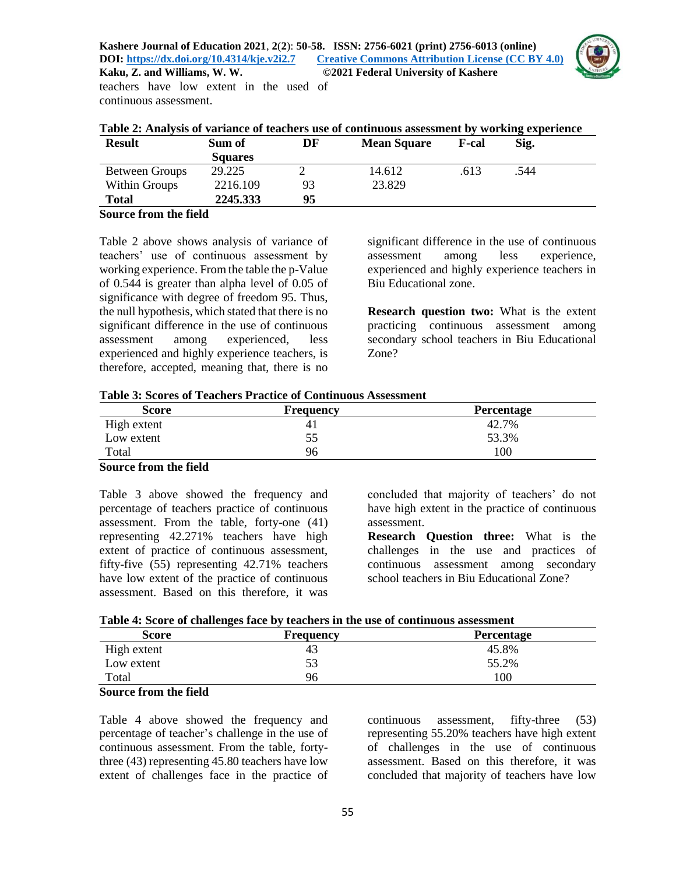

| <b>INGINIA, Z., GIRG</b> VVIIIIGILIS, VV. VV. |  |  |  |  |  |  |  |  |
|-----------------------------------------------|--|--|--|--|--|--|--|--|
| teachers have low extent in the used of       |  |  |  |  |  |  |  |  |
| continuous assessment.                        |  |  |  |  |  |  |  |  |

|  | Table 2: Analysis of variance of teachers use of continuous assessment by working experience |  |
|--|----------------------------------------------------------------------------------------------|--|
|  |                                                                                              |  |

| <b>Result</b>                                          | Sum of         | DF | <b>Mean Square</b> | <b>F-cal</b> | Sig. |  |
|--------------------------------------------------------|----------------|----|--------------------|--------------|------|--|
|                                                        | <b>Squares</b> |    |                    |              |      |  |
| <b>Between Groups</b>                                  | 29.225         |    | 14.612             | .613         | .544 |  |
| Within Groups                                          | 2216.109       | 93 | 23.829             |              |      |  |
| <b>Total</b>                                           | 2245.333       | 95 |                    |              |      |  |
| $\sim$<br>$\sim$<br>$\sim$ $\sim$ $\sim$ $\sim$ $\sim$ | .              |    |                    |              |      |  |

#### **Source from the field**

Table 2 above shows analysis of variance of teachers' use of continuous assessment by working experience. From the table the p-Value of 0.544 is greater than alpha level of 0.05 of significance with degree of freedom 95. Thus, the null hypothesis, which stated that there is no significant difference in the use of continuous assessment among experienced, less experienced and highly experience teachers, is therefore, accepted, meaning that, there is no

significant difference in the use of continuous assessment among less experience, experienced and highly experience teachers in Biu Educational zone.

**Research question two:** What is the extent practicing continuous assessment among secondary school teachers in Biu Educational Zone?

|  | <b>Table 3: Scores of Teachers Practice of Continuous Assessment</b> |  |  |
|--|----------------------------------------------------------------------|--|--|
|--|----------------------------------------------------------------------|--|--|

| <b>Score</b> | Frequency | Percentage |
|--------------|-----------|------------|
| High extent  | 41        | 42.7%      |
| Low extent   | 55        | 53.3%      |
| Total        | 96        | 100        |

#### **Source from the field**

Table 3 above showed the frequency and percentage of teachers practice of continuous assessment. From the table, forty-one (41) representing 42.271% teachers have high extent of practice of continuous assessment, fifty-five (55) representing 42.71% teachers have low extent of the practice of continuous assessment. Based on this therefore, it was

concluded that majority of teachers' do not have high extent in the practice of continuous assessment.

**Research Question three:** What is the challenges in the use and practices of continuous assessment among secondary school teachers in Biu Educational Zone?

|  |  |  |  |  |  | Table 4: Score of challenges face by teachers in the use of continuous assessment |
|--|--|--|--|--|--|-----------------------------------------------------------------------------------|
|  |  |  |  |  |  |                                                                                   |

| <b>Score</b> | <b>Frequency</b> | <b>Percentage</b> |
|--------------|------------------|-------------------|
| High extent  | 43               | 45.8%             |
| Low extent   | 53               | 55.2%             |
| Total        | 96               | 100               |

## **Source from the field**

Table 4 above showed the frequency and percentage of teacher's challenge in the use of continuous assessment. From the table, fortythree (43) representing 45.80 teachers have low extent of challenges face in the practice of continuous assessment, fifty-three (53) representing 55.20% teachers have high extent of challenges in the use of continuous assessment. Based on this therefore, it was concluded that majority of teachers have low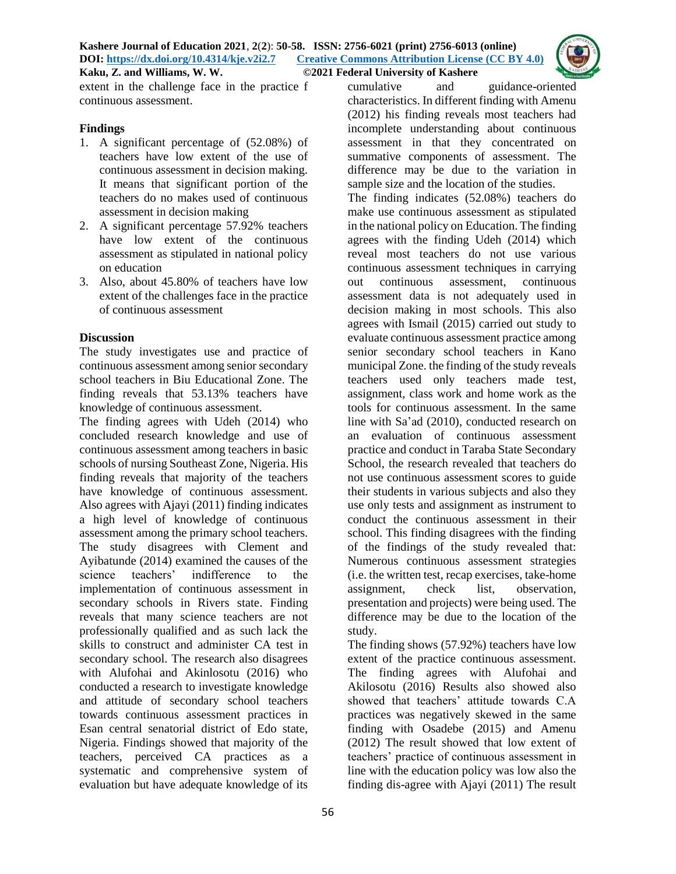

extent in the challenge face in the practice f continuous assessment.

### **Findings**

- 1. A significant percentage of (52.08%) of teachers have low extent of the use of continuous assessment in decision making. It means that significant portion of the teachers do no makes used of continuous assessment in decision making
- 2. A significant percentage 57.92% teachers have low extent of the continuous assessment as stipulated in national policy on education
- 3. Also, about 45.80% of teachers have low extent of the challenges face in the practice of continuous assessment

## **Discussion**

The study investigates use and practice of continuous assessment among senior secondary school teachers in Biu Educational Zone. The finding reveals that 53.13% teachers have knowledge of continuous assessment.

The finding agrees with Udeh (2014) who concluded research knowledge and use of continuous assessment among teachers in basic schools of nursing Southeast Zone, Nigeria. His finding reveals that majority of the teachers have knowledge of continuous assessment. Also agrees with Ajayi (2011) finding indicates a high level of knowledge of continuous assessment among the primary school teachers. The study disagrees with Clement and Ayibatunde (2014) examined the causes of the science teachers' indifference to the implementation of continuous assessment in secondary schools in Rivers state. Finding reveals that many science teachers are not professionally qualified and as such lack the skills to construct and administer CA test in secondary school. The research also disagrees with Alufohai and Akinlosotu (2016) who conducted a research to investigate knowledge and attitude of secondary school teachers towards continuous assessment practices in Esan central senatorial district of Edo state, Nigeria. Findings showed that majority of the teachers, perceived CA practices as a systematic and comprehensive system of evaluation but have adequate knowledge of its

56

cumulative and guidance-oriented characteristics. In different finding with Amenu (2012) his finding reveals most teachers had incomplete understanding about continuous assessment in that they concentrated on summative components of assessment. The difference may be due to the variation in sample size and the location of the studies.

The finding indicates (52.08%) teachers do make use continuous assessment as stipulated in the national policy on Education. The finding agrees with the finding Udeh (2014) which reveal most teachers do not use various continuous assessment techniques in carrying out continuous assessment, continuous assessment data is not adequately used in decision making in most schools. This also agrees with Ismail (2015) carried out study to evaluate continuous assessment practice among senior secondary school teachers in Kano municipal Zone. the finding of the study reveals teachers used only teachers made test, assignment, class work and home work as the tools for continuous assessment. In the same line with Sa'ad (2010), conducted research on an evaluation of continuous assessment practice and conduct in Taraba State Secondary School, the research revealed that teachers do not use continuous assessment scores to guide their students in various subjects and also they use only tests and assignment as instrument to conduct the continuous assessment in their school. This finding disagrees with the finding of the findings of the study revealed that: Numerous continuous assessment strategies (i.e. the written test, recap exercises, take-home assignment, check list, observation, presentation and projects) were being used. The difference may be due to the location of the study.

The finding shows (57.92%) teachers have low extent of the practice continuous assessment. The finding agrees with Alufohai and Akilosotu (2016) Results also showed also showed that teachers' attitude towards C.A practices was negatively skewed in the same finding with Osadebe (2015) and Amenu (2012) The result showed that low extent of teachers' practice of continuous assessment in line with the education policy was low also the finding dis-agree with Ajayi (2011) The result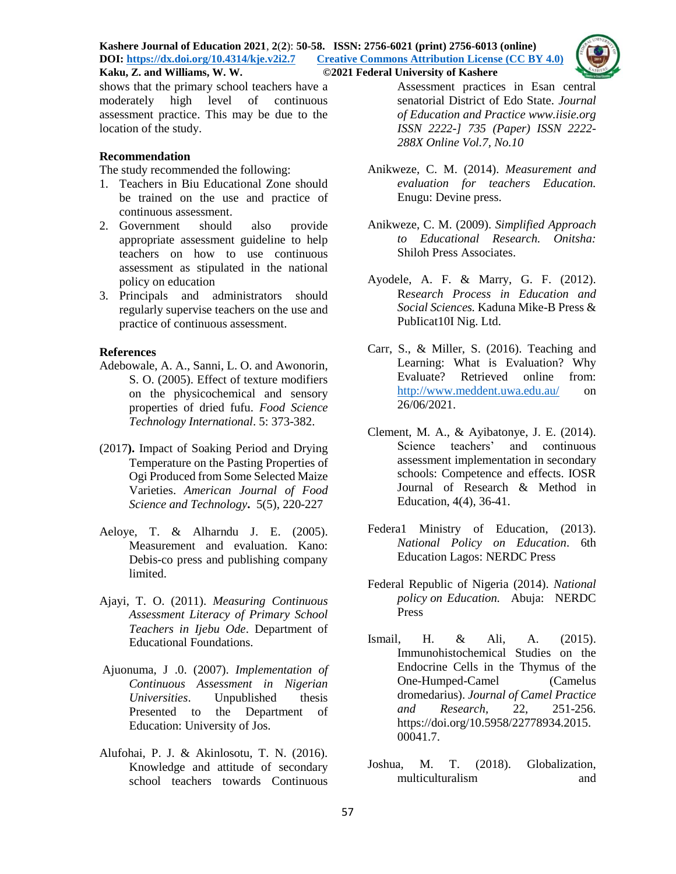

shows that the primary school teachers have a moderately high level of continuous assessment practice. This may be due to the location of the study.

### **Recommendation**

The study recommended the following:

- 1. Teachers in Biu Educational Zone should be trained on the use and practice of continuous assessment.
- 2. Government should also provide appropriate assessment guideline to help teachers on how to use continuous assessment as stipulated in the national policy on education
- 3. Principals and administrators should regularly supervise teachers on the use and practice of continuous assessment.

### **References**

- Adebowale, A. A., Sanni, L. O. and Awonorin, S. O. (2005). Effect of texture modifiers on the physicochemical and sensory properties of dried fufu. *Food Science Technology International*. 5: 373-382.
- (2017**).** Impact of [Soaking](http://pubs.sciepub.com/ajfst/5/5/8/index.html) Period and Drying [Temperature](http://pubs.sciepub.com/ajfst/5/5/8/index.html) on the Pasting Properties of Ogi [Produced](http://pubs.sciepub.com/ajfst/5/5/8/index.html) from Some Selected Maize [Varieties.](http://pubs.sciepub.com/ajfst/5/5/8/index.html) *[American](http://www.sciepub.com/journal/AJFST) Journal of Food Science and [Technology](http://www.sciepub.com/journal/AJFST)***.** [5\(5\)](http://www.sciepub.com/AJFST/content/5/5), 220-227
- Aeloye, T. & Alharndu J. E. (2005). Measurement and evaluation. Kano: Debis-co press and publishing company limited.
- Ajayi, T. O. (2011). *Measuring Continuous Assessment Literacy of Primary School Teachers in Ijebu Ode*. Department of Educational Foundations.
- Ajuonuma, J .0. (2007). *Implementation of Continuous Assessment in Nigerian Universities*. Unpublished thesis Presented to the Department of Education: University of Jos.
- Alufohai, P. J. & Akinlosotu, T. N. (2016). Knowledge and attitude of secondary school teachers towards Continuous

Assessment practices in Esan central senatorial District of Edo State. *Journal of Education and Practice www.iisie.org ISSN 2222-] 735 (Paper) ISSN 2222- 288X Online Vol.7, No.10*

- Anikweze, C. M. (2014). *Measurement and evaluation for teachers Education.*  Enugu: Devine press.
- Anikweze, C. M. (2009). *Simplified Approach to Educational Research. Onitsha:*  Shiloh Press Associates.
- Ayodele, A. F. & Marry, G. F. (2012). R*esearch Process in Education and Social Sciences.* Kaduna Mike-B Press & PubIicat10I Nig. Ltd.
- Carr, S., & Miller, S. (2016). Teaching and Learning: What is Evaluation? Why Evaluate? Retrieved online from: <http://www.meddent.uwa.edu.au/> on 26/06/2021.
- Clement, M. A., & Ayibatonye, J. E. (2014). Science teachers' and continuous assessment implementation in secondary schools: Competence and effects. IOSR Journal of Research & Method in Education, 4(4), 36-41.
- Federa1 Ministry of Education, (2013). *National Policy on Education*. 6th Education Lagos: NERDC Press
- Federal Republic of Nigeria (2014). *National policy on Education.* Abuja: NERDC Press
- Ismail, H. & Ali, A. (2015). Immunohistochemical Studies on the Endocrine Cells in the Thymus of the One-Humped-Camel (Camelus dromedarius). *Journal of Camel Practice and Research,* 22, 251-256. https://doi.org/10.5958/22778934.2015. 00041.7.
- Joshua, M. T. (2018). Globalization, multiculturalism and